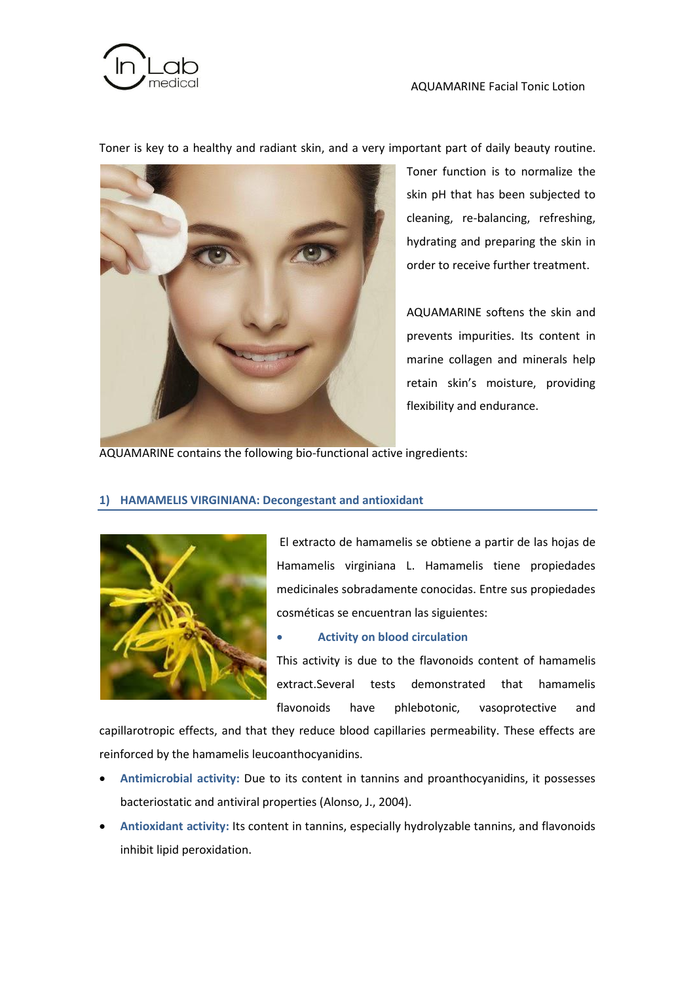

Toner is key to a healthy and radiant skin, and a very important part of daily beauty routine.



Toner function is to normalize the skin pH that has been subjected to cleaning, re-balancing, refreshing, hydrating and preparing the skin in order to receive further treatment.

AQUAMARINE softens the skin and prevents impurities. Its content in marine collagen and minerals help retain skin's moisture, providing flexibility and endurance.

AQUAMARINE contains the following bio-functional active ingredients:

## **1) HAMAMELIS VIRGINIANA: Decongestant and antioxidant**



El extracto de hamamelis se obtiene a partir de las hojas de Hamamelis virginiana L. Hamamelis tiene propiedades medicinales sobradamente conocidas. Entre sus propiedades cosméticas se encuentran las siguientes:

## **Activity on blood circulation**

This activity is due to the flavonoids content of hamamelis extract.Several tests demonstrated that hamamelis flavonoids have phlebotonic, vasoprotective and

capillarotropic effects, and that they reduce blood capillaries permeability. These effects are reinforced by the hamamelis leucoanthocyanidins.

- **Antimicrobial activity:** Due to its content in tannins and proanthocyanidins, it possesses bacteriostatic and antiviral properties (Alonso, J., 2004).
- **Antioxidant activity:** Its content in tannins, especially hydrolyzable tannins, and flavonoids inhibit lipid peroxidation.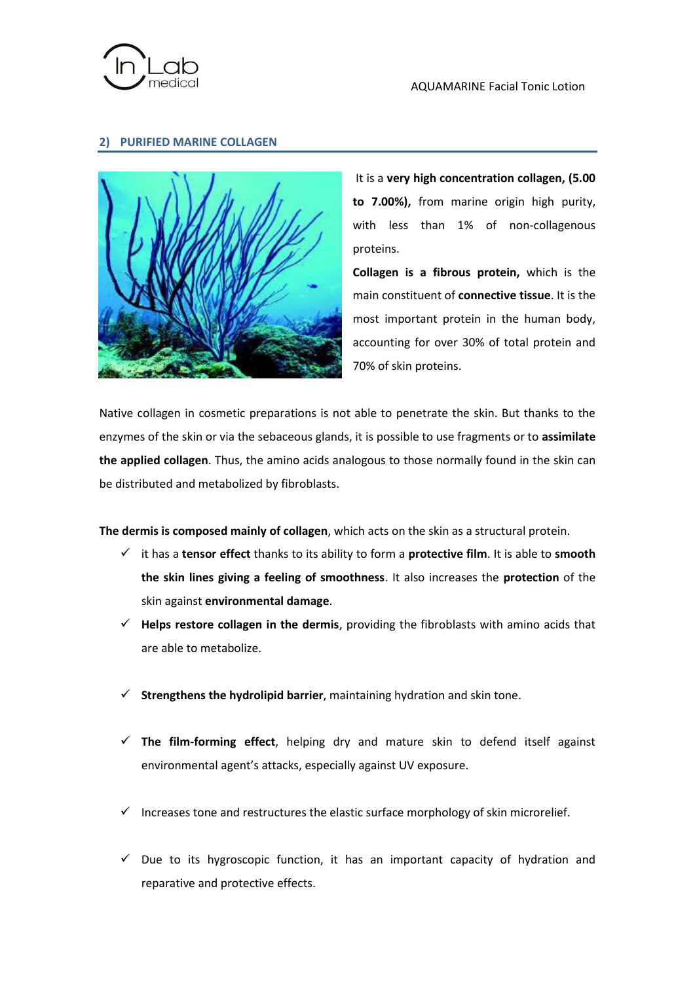

## **2) PURIFIED MARINE COLLAGEN**



It is a **very high concentration collagen, (5.00 to 7.00%),** from marine origin high purity, with less than 1% of non-collagenous proteins.

**Collagen is a fibrous protein,** which is the main constituent of **connective tissue**. It is the most important protein in the human body, accounting for over 30% of total protein and 70% of skin proteins.

Native collagen in cosmetic preparations is not able to penetrate the skin. But thanks to the enzymes of the skin or via the sebaceous glands, it is possible to use fragments or to **assimilate the applied collagen**. Thus, the amino acids analogous to those normally found in the skin can be distributed and metabolized by fibroblasts.

**The dermis is composed mainly of collagen**, which acts on the skin as a structural protein.

- it has a **tensor effect** thanks to its ability to form a **protective film**. It is able to **smooth the skin lines giving a feeling of smoothness**. It also increases the **protection** of the skin against **environmental damage**.
- **Helps restore collagen in the dermis**, providing the fibroblasts with amino acids that are able to metabolize.
- **Strengthens the hydrolipid barrier**, maintaining hydration and skin tone.
- **The film-forming effect**, helping dry and mature skin to defend itself against environmental agent's attacks, especially against UV exposure.
- $\checkmark$  Increases tone and restructures the elastic surface morphology of skin microrelief.
- $\checkmark$  Due to its hygroscopic function, it has an important capacity of hydration and reparative and protective effects.